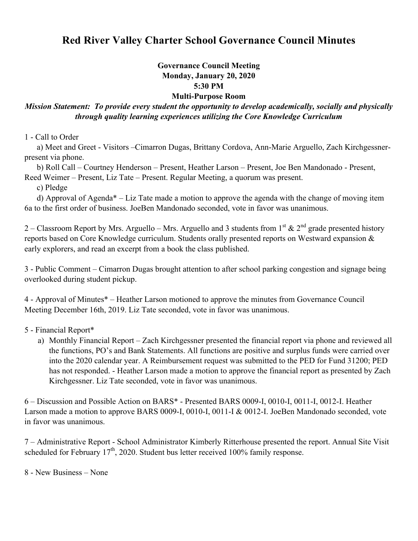## **Red River Valley Charter School Governance Council Minutes**

## **Governance Council Meeting Monday, January 20, 2020 5:30 PM Multi-Purpose Room**

## *Mission Statement: To provide every student the opportunity to develop academically, socially and physically through quality learning experiences utilizing the Core Knowledge Curriculum*

1 - Call to Order

 a) Meet and Greet - Visitors –Cimarron Dugas, Brittany Cordova, Ann-Marie Arguello, Zach Kirchgessnerpresent via phone.

 b) Roll Call – Courtney Henderson – Present, Heather Larson – Present, Joe Ben Mandonado - Present, Reed Weimer – Present, Liz Tate – Present. Regular Meeting, a quorum was present.

c) Pledge

 d) Approval of Agenda\* – Liz Tate made a motion to approve the agenda with the change of moving item 6a to the first order of business. JoeBen Mandonado seconded, vote in favor was unanimous.

2 – Classroom Report by Mrs. Arguello – Mrs. Arguello and 3 students from 1<sup>st</sup>  $\&$  2<sup>nd</sup> grade presented history reports based on Core Knowledge curriculum. Students orally presented reports on Westward expansion & early explorers, and read an excerpt from a book the class published.

3 - Public Comment – Cimarron Dugas brought attention to after school parking congestion and signage being overlooked during student pickup.

4 - Approval of Minutes\* – Heather Larson motioned to approve the minutes from Governance Council Meeting December 16th, 2019. Liz Tate seconded, vote in favor was unanimous.

5 - Financial Report\*

a) Monthly Financial Report – Zach Kirchgessner presented the financial report via phone and reviewed all the functions, PO's and Bank Statements. All functions are positive and surplus funds were carried over into the 2020 calendar year. A Reimbursement request was submitted to the PED for Fund 31200; PED has not responded. - Heather Larson made a motion to approve the financial report as presented by Zach Kirchgessner. Liz Tate seconded, vote in favor was unanimous.

6 – Discussion and Possible Action on BARS\* - Presented BARS 0009-I, 0010-I, 0011-I, 0012-I. Heather Larson made a motion to approve BARS 0009-I, 0010-I, 0011-I & 0012-I. JoeBen Mandonado seconded, vote in favor was unanimous.

7 – Administrative Report - School Administrator Kimberly Ritterhouse presented the report. Annual Site Visit scheduled for February  $17<sup>th</sup>$ , 2020. Student bus letter received 100% family response.

8 - New Business – None